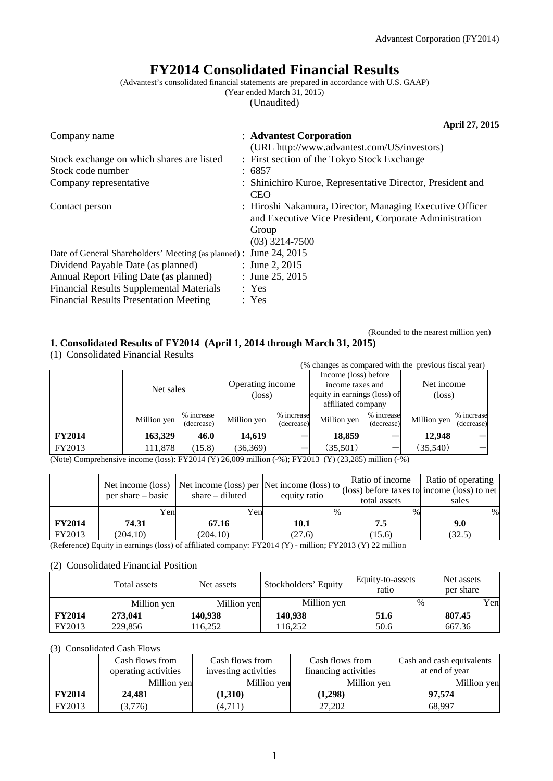# **FY2014 Consolidated Financial Results**

(Advantest's consolidated financial statements are prepared in accordance with U.S. GAAP)

(Year ended March 31, 2015)

(Unaudited)

|                                                                    | April 27, 2015                                                                                                                                  |
|--------------------------------------------------------------------|-------------------------------------------------------------------------------------------------------------------------------------------------|
| Company name                                                       | : Advantest Corporation                                                                                                                         |
|                                                                    | (URL http://www.advantest.com/US/investors)                                                                                                     |
| Stock exchange on which shares are listed                          | : First section of the Tokyo Stock Exchange                                                                                                     |
| Stock code number                                                  | : 6857                                                                                                                                          |
| Company representative                                             | : Shinichiro Kuroe, Representative Director, President and<br><b>CEO</b>                                                                        |
| Contact person                                                     | : Hiroshi Nakamura, Director, Managing Executive Officer<br>and Executive Vice President, Corporate Administration<br>Group<br>$(03)$ 3214-7500 |
| Date of General Shareholders' Meeting (as planned) : June 24, 2015 |                                                                                                                                                 |
| Dividend Payable Date (as planned)                                 | : June 2, 2015                                                                                                                                  |
| Annual Report Filing Date (as planned)                             | : June 25, 2015                                                                                                                                 |
| <b>Financial Results Supplemental Materials</b>                    | : Yes                                                                                                                                           |
| <b>Financial Results Presentation Meeting</b>                      | : Yes                                                                                                                                           |

(Rounded to the nearest million yen)

## **1. Consolidated Results of FY2014 (April 1, 2014 through March 31, 2015)**

(1) Consolidated Financial Results

| $(1)$ components interested in $\sim$                                                                                       |             |                          |                                     |                          |                                                                                                |                          |                               |                          |
|-----------------------------------------------------------------------------------------------------------------------------|-------------|--------------------------|-------------------------------------|--------------------------|------------------------------------------------------------------------------------------------|--------------------------|-------------------------------|--------------------------|
|                                                                                                                             |             |                          |                                     |                          | (% changes as compared with the previous fiscal year)                                          |                          |                               |                          |
|                                                                                                                             | Net sales   |                          | Operating income<br>$(\text{loss})$ |                          | Income (loss) before<br>income taxes and<br>equity in earnings (loss) of<br>affiliated company |                          | Net income<br>$(\text{loss})$ |                          |
|                                                                                                                             | Million yen | % increase<br>(decrease) | Million yen                         | % increase<br>(decrease) | Million yen                                                                                    | % increase<br>(decrease) | Million yen                   | % increase<br>(decrease) |
| <b>FY2014</b>                                                                                                               | 163,329     | 46.0                     | 14,619                              |                          | 18,859                                                                                         |                          | 12,948                        |                          |
| FY2013                                                                                                                      | 111,878     | (15.8)                   | (36, 369)                           |                          | (35,501)                                                                                       |                          | (35,540)                      |                          |
| $(N_{\text{obs}})$ Comprehensive income $(1_{\text{obs}})$ , EV2014 (V) 26,000 million (V), EV2012 (V) (22,205) million (V) |             |                          |                                     |                          |                                                                                                |                          |                               |                          |

(Note) Comprehensive income (loss): FY2014 (Y) 26,009 million (-%); FY2013 (Y) (23,285) million (-%)

|               | $per share - basic$ | Net income (loss) Net income (loss) per Net income (loss) to $\frac{1}{(loss)}$ before taxes to income (loss) to net<br>share $-$ diluted | equity ratio | Ratio of income<br>total assets | Ratio of operating<br>sales |
|---------------|---------------------|-------------------------------------------------------------------------------------------------------------------------------------------|--------------|---------------------------------|-----------------------------|
|               | Yenl                | Yen                                                                                                                                       | $\%$         | $\%$                            | $\%$                        |
| <b>FY2014</b> | 74.31               | 67.16                                                                                                                                     | 10.1         | 7.5                             | 9.0                         |
| FY2013        | (204.10)            | (204.10)                                                                                                                                  | (27.6)       | (15.6)                          | (32.5)                      |

(Reference) Equity in earnings (loss) of affiliated company: FY2014 (Y) - million; FY2013 (Y) 22 million

## (2) Consolidated Financial Position

|               | Total assets | Net assets  | Stockholders' Equity | Equity-to-assets<br>ratio | Net assets<br>per share |
|---------------|--------------|-------------|----------------------|---------------------------|-------------------------|
|               | Million yen  | Million yen | Million yen          | $\%$                      | Yen                     |
| <b>FY2014</b> | 273,041      | 140,938     | 140,938              | 51.6                      | 807.45                  |
| FY2013        | 229,856      | 116.252     | 116.252              | 50.6                      | 667.36                  |

## (3) Consolidated Cash Flows

|               | Cash flows from      | Cash flows from      | Cash flows from      | Cash and cash equivalents |
|---------------|----------------------|----------------------|----------------------|---------------------------|
|               | operating activities | investing activities | financing activities | at end of year            |
|               | Million yen          | Million yen          | Million yen          | Million yen               |
| <b>FY2014</b> | 24,481               | (1,310)              | (1,298)              | 97.574                    |
| FY2013        | (3,776)              | (4,711)              | 27,202               | 68,997                    |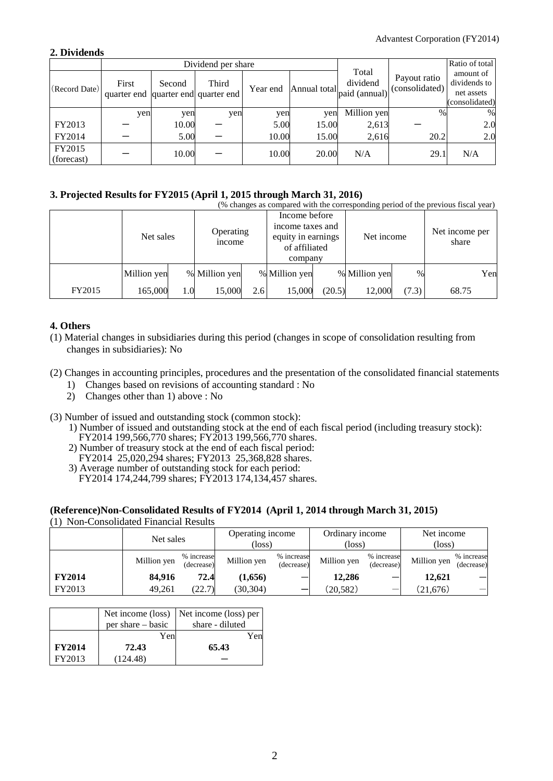## **2. Dividends**

|                      |                                              |        | Dividend per share |          |              | Ratio of total                     |                                |                                                           |
|----------------------|----------------------------------------------|--------|--------------------|----------|--------------|------------------------------------|--------------------------------|-----------------------------------------------------------|
| (Record Date)        | First<br>quarter end quarter end quarter end | Second | Third              | Year end | Annual total | Total<br>dividend<br>paid (annual) | Payout ratio<br>(consolidated) | amount of<br>dividends to<br>net assets<br>(consolidated) |
|                      | yen                                          | yen    | yen                | yen      | yen          | Million yen                        | $\%$                           | %                                                         |
| FY2013               |                                              | 10.00  |                    | 5.00     | 15.00        | 2,613                              |                                | 2.0                                                       |
| FY2014               |                                              | 5.00   |                    | 10.00    | 15.00        | 2,616                              | 20.2                           | 2.0                                                       |
| FY2015<br>(forecast) |                                              | 10.00  |                    | 10.00    | 20.00        | N/A                                | 29.1                           | N/A                                                       |

## **3. Projected Results for FY2015 (April 1, 2015 through March 31, 2016)**

|        | (% changes as compared with the corresponding period of the previous fiscal year) |         |                                 |     |                                                                                     |        |               |               |                         |     |
|--------|-----------------------------------------------------------------------------------|---------|---------------------------------|-----|-------------------------------------------------------------------------------------|--------|---------------|---------------|-------------------------|-----|
|        | Net sales                                                                         |         | Operating<br><sub>1</sub> ncome |     | Income before<br>income taxes and<br>equity in earnings<br>of affiliated<br>company |        | Net income    |               | Net income per<br>share |     |
|        | Million yen                                                                       |         | % Million yen                   |     | % Million yen                                                                       |        | % Million yen | $\frac{0}{0}$ |                         | Yen |
| FY2015 | 165,000                                                                           | $1.0\,$ | 15,000                          | 2.6 | 15,000                                                                              | (20.5) | 12,000        | (7.3)         | 68.75                   |     |

## **4. Others**

(1) Material changes in subsidiaries during this period (changes in scope of consolidation resulting from changes in subsidiaries): No

## (2) Changes in accounting principles, procedures and the presentation of the consolidated financial statements

- 1) Changes based on revisions of accounting standard : No
- 2) Changes other than 1) above : No
- (3) Number of issued and outstanding stock (common stock):
	- 1) Number of issued and outstanding stock at the end of each fiscal period (including treasury stock): FY2014 199,566,770 shares; FY2013 199,566,770 shares.
	- 2) Number of treasury stock at the end of each fiscal period:
	- FY2014 25,020,294 shares; FY2013 25,368,828 shares.
	- 3) Average number of outstanding stock for each period: FY2014 174,244,799 shares; FY2013 174,134,457 shares.

#### **(Reference)Non-Consolidated Results of FY2014 (April 1, 2014 through March 31, 2015)** (1) Non-Consolidated Financial Results

|               | Net sales   |                          | Operating income<br>(loss) |                          | Ordinary income<br>(loss |                          | Net income<br>(loss) |                          |
|---------------|-------------|--------------------------|----------------------------|--------------------------|--------------------------|--------------------------|----------------------|--------------------------|
|               | Million yen | % increase<br>(decrease) | Million yen                | % increase<br>(decrease) | Million yen              | % increase<br>(decrease) | Million yen          | % increase<br>(decrease) |
| <b>FY2014</b> | 84.916      | 72.4                     | (1,656)                    |                          | 12,286                   |                          | 12,621               |                          |
| FY2013        | 49,261      | (22.7)                   | (30, 304)                  |                          | (20, 582)                | $\overline{\phantom{a}}$ | (21, 676)            |                          |

|               | Net income (loss)<br>per share – basic | Net income (loss) per<br>share - diluted |
|---------------|----------------------------------------|------------------------------------------|
|               | Yen                                    | Yen                                      |
| <b>FY2014</b> | 72.43                                  | 65.43                                    |
| FY2013        | (124.48)                               |                                          |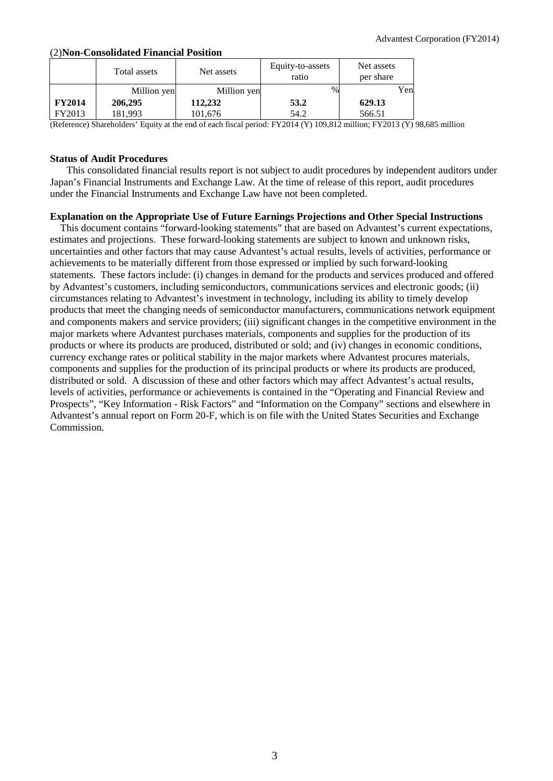## (2)**Non-Consolidated Financial Position**

|               | Total assets | Net assets  | Equity-to-assets<br>ratio | Net assets<br>per share |
|---------------|--------------|-------------|---------------------------|-------------------------|
|               | Million yen  | Million yen | $\%$                      | Yen                     |
| <b>FY2014</b> | 206,295      | 112,232     | 53.2                      | 629.13                  |
| FY2013        | 181.993      | 101,676     | 54.2                      | 566.51                  |

(Reference) Shareholders' Equity at the end of each fiscal period: FY2014 (Y) 109,812 million; FY2013 (Y) 98,685 million

## **Status of Audit Procedures**

This consolidated financial results report is not subject to audit procedures by independent auditors under Japan's Financial Instruments and Exchange Law. At the time of release of this report, audit procedures under the Financial Instruments and Exchange Law have not been completed.

## **Explanation on the Appropriate Use of Future Earnings Projections and Other Special Instructions**

This document contains "forward-looking statements" that are based on Advantest's current expectations, estimates and projections. These forward-looking statements are subject to known and unknown risks, uncertainties and other factors that may cause Advantest's actual results, levels of activities, performance or achievements to be materially different from those expressed or implied by such forward-looking statements. These factors include: (i) changes in demand for the products and services produced and offered by Advantest's customers, including semiconductors, communications services and electronic goods; (ii) circumstances relating to Advantest's investment in technology, including its ability to timely develop products that meet the changing needs of semiconductor manufacturers, communications network equipment and components makers and service providers; (iii) significant changes in the competitive environment in the major markets where Advantest purchases materials, components and supplies for the production of its products or where its products are produced, distributed or sold; and (iv) changes in economic conditions, currency exchange rates or political stability in the major markets where Advantest procures materials, components and supplies for the production of its principal products or where its products are produced, distributed or sold. A discussion of these and other factors which may affect Advantest's actual results, levels of activities, performance or achievements is contained in the "Operating and Financial Review and Prospects", "Key Information - Risk Factors" and "Information on the Company" sections and elsewhere in Advantest's annual report on Form 20-F, which is on file with the United States Securities and Exchange Commission.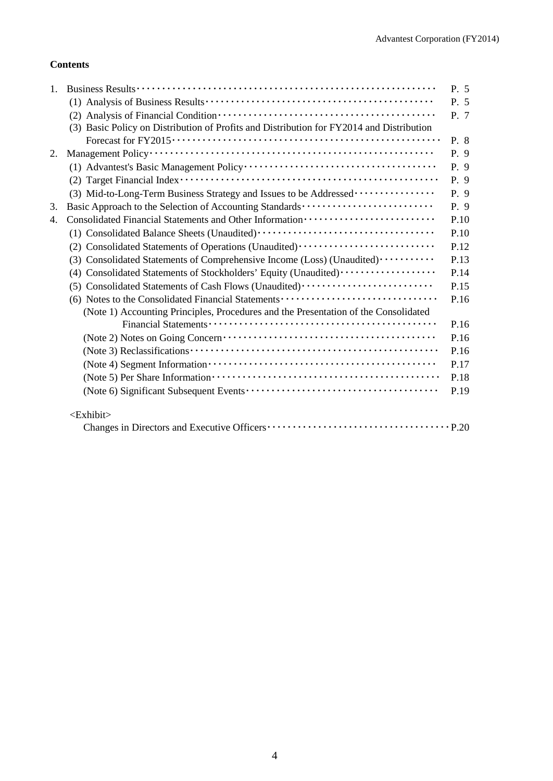## **Contents**

| 1. |                                                                                          | P. 5 |
|----|------------------------------------------------------------------------------------------|------|
|    |                                                                                          | P. 5 |
|    |                                                                                          | P. 7 |
|    | (3) Basic Policy on Distribution of Profits and Distribution for FY2014 and Distribution |      |
|    |                                                                                          | P. 8 |
| 2. |                                                                                          | P. 9 |
|    |                                                                                          | P. 9 |
|    |                                                                                          | P. 9 |
|    | (3) Mid-to-Long-Term Business Strategy and Issues to be Addressed                        | P. 9 |
| 3. | Basic Approach to the Selection of Accounting Standards                                  | P. 9 |
| 4. |                                                                                          | P.10 |
|    |                                                                                          | P.10 |
|    | (2) Consolidated Statements of Operations (Unaudited)                                    | P.12 |
|    | (3) Consolidated Statements of Comprehensive Income (Loss) (Unaudited) ··········        | P.13 |
|    | (4) Consolidated Statements of Stockholders' Equity (Unaudited) ·················        | P.14 |
|    | (5) Consolidated Statements of Cash Flows (Unaudited)                                    | P.15 |
|    | (6) Notes to the Consolidated Financial Statements                                       | P.16 |
|    | (Note 1) Accounting Principles, Procedures and the Presentation of the Consolidated      |      |
|    |                                                                                          | P.16 |
|    |                                                                                          | P.16 |
|    |                                                                                          | P.16 |
|    |                                                                                          | P.17 |
|    |                                                                                          | P.18 |
|    |                                                                                          | P.19 |
|    | <exhibit></exhibit>                                                                      |      |
|    |                                                                                          |      |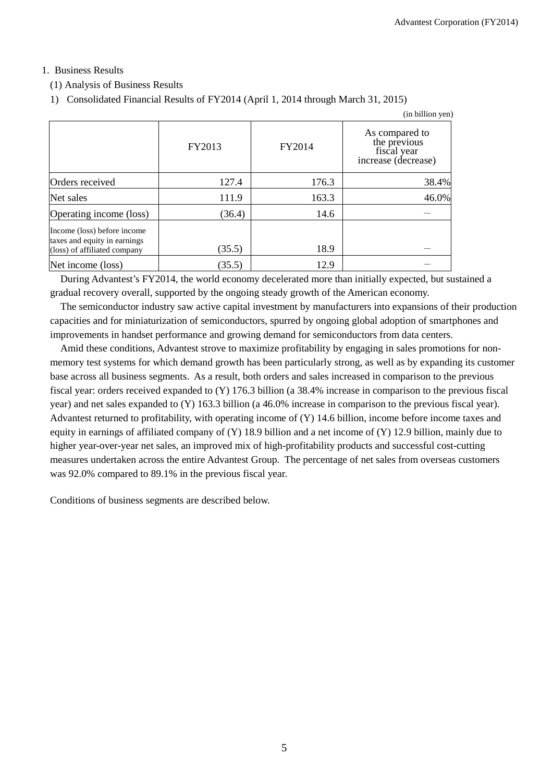## 1. Business Results

## (1) Analysis of Business Results

1) Consolidated Financial Results of FY2014 (April 1, 2014 through March 31, 2015)

|                                                                                             |        |        | (in billion yen)                                                     |
|---------------------------------------------------------------------------------------------|--------|--------|----------------------------------------------------------------------|
|                                                                                             | FY2013 | FY2014 | As compared to<br>the previous<br>fiscal year<br>increase (decrease) |
| Orders received                                                                             | 127.4  | 176.3  | 38.4%                                                                |
| Net sales                                                                                   | 111.9  | 163.3  | 46.0%                                                                |
| Operating income (loss)                                                                     | (36.4) | 14.6   |                                                                      |
| Income (loss) before income<br>taxes and equity in earnings<br>(loss) of affiliated company | (35.5) | 18.9   |                                                                      |
| Net income (loss)                                                                           | (35.5) | 12.9   |                                                                      |

During Advantest's FY2014, the world economy decelerated more than initially expected, but sustained a gradual recovery overall, supported by the ongoing steady growth of the American economy.

The semiconductor industry saw active capital investment by manufacturers into expansions of their production capacities and for miniaturization of semiconductors, spurred by ongoing global adoption of smartphones and improvements in handset performance and growing demand for semiconductors from data centers.

Amid these conditions, Advantest strove to maximize profitability by engaging in sales promotions for nonmemory test systems for which demand growth has been particularly strong, as well as by expanding its customer base across all business segments. As a result, both orders and sales increased in comparison to the previous fiscal year: orders received expanded to (Y) 176.3 billion (a 38.4% increase in comparison to the previous fiscal year) and net sales expanded to (Y) 163.3 billion (a 46.0% increase in comparison to the previous fiscal year). Advantest returned to profitability, with operating income of (Y) 14.6 billion, income before income taxes and equity in earnings of affiliated company of  $(Y)$  18.9 billion and a net income of  $(Y)$  12.9 billion, mainly due to higher year-over-year net sales, an improved mix of high-profitability products and successful cost-cutting measures undertaken across the entire Advantest Group. The percentage of net sales from overseas customers was 92.0% compared to 89.1% in the previous fiscal year.

Conditions of business segments are described below.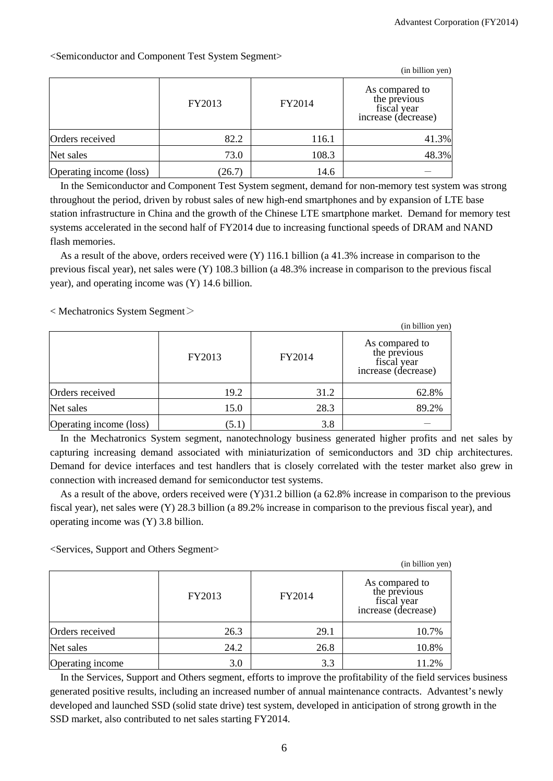| <semiconductor and="" component="" segment="" system="" test=""></semiconductor> |  |  |
|----------------------------------------------------------------------------------|--|--|
|                                                                                  |  |  |
|                                                                                  |  |  |

|                         |        |        | (in billion yen)                                                     |
|-------------------------|--------|--------|----------------------------------------------------------------------|
|                         | FY2013 | FY2014 | As compared to<br>the previous<br>fiscal year<br>increase (decrease) |
| Orders received         | 82.2   | 116.1  | 41.3%                                                                |
| Net sales               | 73.0   | 108.3  | 48.3%                                                                |
| Operating income (loss) | (26.7) | 14.6   |                                                                      |

In the Semiconductor and Component Test System segment, demand for non-memory test system was strong throughout the period, driven by robust sales of new high-end smartphones and by expansion of LTE base station infrastructure in China and the growth of the Chinese LTE smartphone market. Demand for memory test systems accelerated in the second half of FY2014 due to increasing functional speeds of DRAM and NAND flash memories.

As a result of the above, orders received were (Y) 116.1 billion (a 41.3% increase in comparison to the previous fiscal year), net sales were (Y) 108.3 billion (a 48.3% increase in comparison to the previous fiscal year), and operating income was (Y) 14.6 billion.

 $\langle$  Mechatronics System Segment $\langle$ 

| (in billion yen)        |        |        |                                                                      |  |  |  |  |
|-------------------------|--------|--------|----------------------------------------------------------------------|--|--|--|--|
|                         | FY2013 | FY2014 | As compared to<br>the previous<br>fiscal year<br>increase (decrease) |  |  |  |  |
| Orders received         | 19.2   | 31.2   | 62.8%                                                                |  |  |  |  |
| Net sales               | 15.0   | 28.3   | 89.2%                                                                |  |  |  |  |
| Operating income (loss) | (5.1)  | 3.8    |                                                                      |  |  |  |  |

In the Mechatronics System segment, nanotechnology business generated higher profits and net sales by capturing increasing demand associated with miniaturization of semiconductors and 3D chip architectures. Demand for device interfaces and test handlers that is closely correlated with the tester market also grew in connection with increased demand for semiconductor test systems.

As a result of the above, orders received were (Y)31.2 billion (a 62.8% increase in comparison to the previous fiscal year), net sales were (Y) 28.3 billion (a 89.2% increase in comparison to the previous fiscal year), and operating income was (Y) 3.8 billion.

<Services, Support and Others Segment>

|                  |        |        | (in billion yen)                                                     |
|------------------|--------|--------|----------------------------------------------------------------------|
|                  | FY2013 | FY2014 | As compared to<br>the previous<br>fiscal year<br>increase (decrease) |
| Orders received  | 26.3   | 29.1   | 10.7%                                                                |
| Net sales        | 24.2   | 26.8   | 10.8%                                                                |
| Operating income | 3.0    | 3.3    | 11.2%                                                                |

In the Services, Support and Others segment, efforts to improve the profitability of the field services business generated positive results, including an increased number of annual maintenance contracts. Advantest's newly developed and launched SSD (solid state drive) test system, developed in anticipation of strong growth in the SSD market, also contributed to net sales starting FY2014.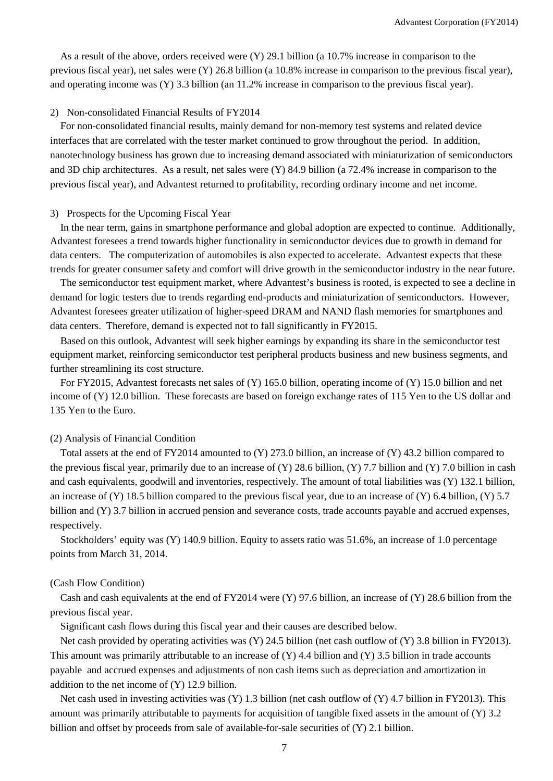As a result of the above, orders received were (Y) 29.1 billion (a 10.7% increase in comparison to the previous fiscal year), net sales were (Y) 26.8 billion (a 10.8% increase in comparison to the previous fiscal year), and operating income was (Y) 3.3 billion (an 11.2% increase in comparison to the previous fiscal year).

#### 2) Non-consolidated Financial Results of FY2014

For non-consolidated financial results, mainly demand for non-memory test systems and related device interfaces that are correlated with the tester market continued to grow throughout the period. In addition, nanotechnology business has grown due to increasing demand associated with miniaturization of semiconductors and 3D chip architectures. As a result, net sales were (Y) 84.9 billion (a 72.4% increase in comparison to the previous fiscal year), and Advantest returned to profitability, recording ordinary income and net income.

#### 3) Prospects for the Upcoming Fiscal Year

In the near term, gains in smartphone performance and global adoption are expected to continue. Additionally, Advantest foresees a trend towards higher functionality in semiconductor devices due to growth in demand for data centers. The computerization of automobiles is also expected to accelerate. Advantest expects that these trends for greater consumer safety and comfort will drive growth in the semiconductor industry in the near future.

The semiconductor test equipment market, where Advantest's business is rooted, is expected to see a decline in demand for logic testers due to trends regarding end-products and miniaturization of semiconductors. However, Advantest foresees greater utilization of higher-speed DRAM and NAND flash memories for smartphones and data centers. Therefore, demand is expected not to fall significantly in FY2015.

Based on this outlook, Advantest will seek higher earnings by expanding its share in the semiconductor test equipment market, reinforcing semiconductor test peripheral products business and new business segments, and further streamlining its cost structure.

For FY2015, Advantest forecasts net sales of (Y) 165.0 billion, operating income of (Y) 15.0 billion and net income of (Y) 12.0 billion. These forecasts are based on foreign exchange rates of 115 Yen to the US dollar and 135 Yen to the Euro.

## (2) Analysis of Financial Condition

Total assets at the end of FY2014 amounted to (Y) 273.0 billion, an increase of (Y) 43.2 billion compared to the previous fiscal year, primarily due to an increase of  $(Y)$  28.6 billion,  $(Y)$  7.7 billion and  $(Y)$  7.0 billion in cash and cash equivalents, goodwill and inventories, respectively. The amount of total liabilities was (Y) 132.1 billion, an increase of  $(Y)$  18.5 billion compared to the previous fiscal year, due to an increase of  $(Y)$  6.4 billion,  $(Y)$  5.7 billion and (Y) 3.7 billion in accrued pension and severance costs, trade accounts payable and accrued expenses, respectively.

Stockholders' equity was (Y) 140.9 billion. Equity to assets ratio was 51.6%, an increase of 1.0 percentage points from March 31, 2014.

#### (Cash Flow Condition)

Cash and cash equivalents at the end of FY2014 were (Y) 97.6 billion, an increase of (Y) 28.6 billion from the previous fiscal year.

Significant cash flows during this fiscal year and their causes are described below.

Net cash provided by operating activities was (Y) 24.5 billion (net cash outflow of (Y) 3.8 billion in FY2013). This amount was primarily attributable to an increase of (Y) 4.4 billion and (Y) 3.5 billion in trade accounts payable and accrued expenses and adjustments of non cash items such as depreciation and amortization in addition to the net income of (Y) 12.9 billion.

Net cash used in investing activities was  $(Y)$  1.3 billion (net cash outflow of  $(Y)$  4.7 billion in FY2013). This amount was primarily attributable to payments for acquisition of tangible fixed assets in the amount of (Y) 3.2 billion and offset by proceeds from sale of available-for-sale securities of (Y) 2.1 billion.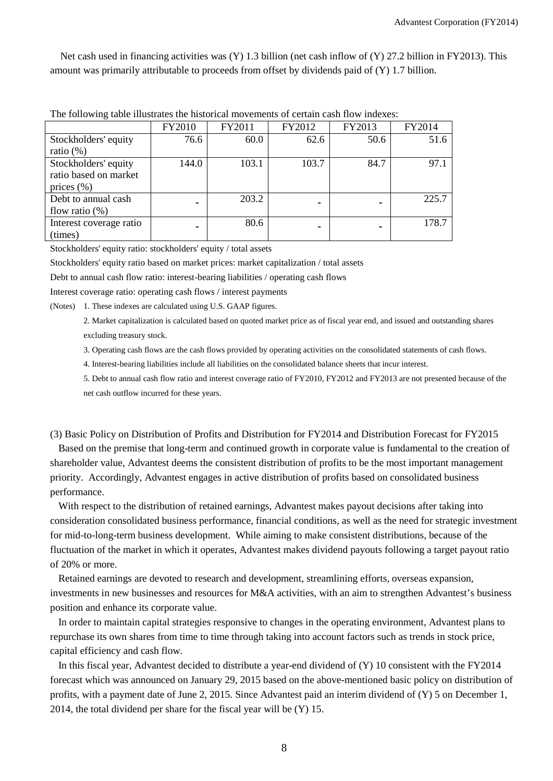Net cash used in financing activities was (Y) 1.3 billion (net cash inflow of (Y) 27.2 billion in FY2013). This amount was primarily attributable to proceeds from offset by dividends paid of (Y) 1.7 billion.

|                         | FY2010 | FY2011 | FY2012 | FY2013 | FY2014 |
|-------------------------|--------|--------|--------|--------|--------|
| Stockholders' equity    | 76.6   | 60.0   | 62.6   | 50.6   | 51.6   |
| ratio $(\%)$            |        |        |        |        |        |
| Stockholders' equity    | 144.0  | 103.1  | 103.7  | 84.7   | 97.1   |
| ratio based on market   |        |        |        |        |        |
| prices $(\% )$          |        |        |        |        |        |
| Debt to annual cash     |        | 203.2  | ٠      |        | 225.7  |
| flow ratio $(\%)$       |        |        |        |        |        |
| Interest coverage ratio |        | 80.6   | -      |        | 178.7  |
| (times)                 |        |        |        |        |        |

The following table illustrates the historical movements of certain cash flow indexes:

Stockholders' equity ratio: stockholders' equity / total assets

Stockholders' equity ratio based on market prices: market capitalization / total assets

Debt to annual cash flow ratio: interest-bearing liabilities / operating cash flows

Interest coverage ratio: operating cash flows / interest payments

(Notes) 1. These indexes are calculated using U.S. GAAP figures.

2. Market capitalization is calculated based on quoted market price as of fiscal year end, and issued and outstanding shares excluding treasury stock.

3. Operating cash flows are the cash flows provided by operating activities on the consolidated statements of cash flows.

4. Interest-bearing liabilities include all liabilities on the consolidated balance sheets that incur interest.

5. Debt to annual cash flow ratio and interest coverage ratio of FY2010, FY2012 and FY2013 are not presented because of the net cash outflow incurred for these years.

(3) Basic Policy on Distribution of Profits and Distribution for FY2014 and Distribution Forecast for FY2015

Based on the premise that long-term and continued growth in corporate value is fundamental to the creation of shareholder value, Advantest deems the consistent distribution of profits to be the most important management priority. Accordingly, Advantest engages in active distribution of profits based on consolidated business performance.

With respect to the distribution of retained earnings, Advantest makes payout decisions after taking into consideration consolidated business performance, financial conditions, as well as the need for strategic investment for mid-to-long-term business development. While aiming to make consistent distributions, because of the fluctuation of the market in which it operates, Advantest makes dividend payouts following a target payout ratio of 20% or more.

Retained earnings are devoted to research and development, streamlining efforts, overseas expansion, investments in new businesses and resources for M&A activities, with an aim to strengthen Advantest's business position and enhance its corporate value.

In order to maintain capital strategies responsive to changes in the operating environment, Advantest plans to repurchase its own shares from time to time through taking into account factors such as trends in stock price, capital efficiency and cash flow.

In this fiscal year, Advantest decided to distribute a year-end dividend of (Y) 10 consistent with the FY2014 forecast which was announced on January 29, 2015 based on the above-mentioned basic policy on distribution of profits, with a payment date of June 2, 2015. Since Advantest paid an interim dividend of (Y) 5 on December 1, 2014, the total dividend per share for the fiscal year will be (Y) 15.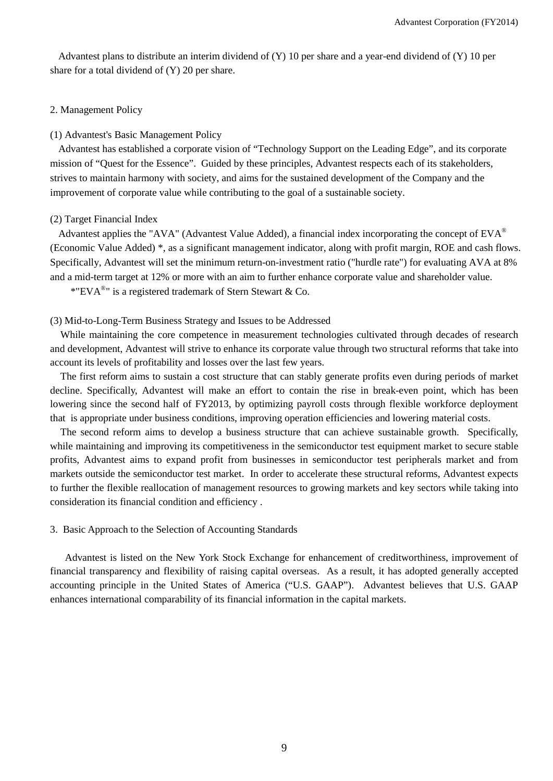Advantest plans to distribute an interim dividend of (Y) 10 per share and a year-end dividend of (Y) 10 per share for a total dividend of (Y) 20 per share.

#### 2. Management Policy

#### (1) Advantest's Basic Management Policy

Advantest has established a corporate vision of "Technology Support on the Leading Edge", and its corporate mission of "Quest for the Essence". Guided by these principles, Advantest respects each of its stakeholders, strives to maintain harmony with society, and aims for the sustained development of the Company and the improvement of corporate value while contributing to the goal of a sustainable society.

#### (2) Target Financial Index

Advantest applies the "AVA" (Advantest Value Added), a financial index incorporating the concept of  $EVA^{\circledcirc}$ (Economic Value Added) \*, as a significant management indicator, along with profit margin, ROE and cash flows. Specifically, Advantest will set the minimum return-on-investment ratio ("hurdle rate") for evaluating AVA at 8% and a mid-term target at 12% or more with an aim to further enhance corporate value and shareholder value.

\*"EVA®" is a registered trademark of Stern Stewart & Co.

#### (3) Mid-to-Long-Term Business Strategy and Issues to be Addressed

While maintaining the core competence in measurement technologies cultivated through decades of research and development, Advantest will strive to enhance its corporate value through two structural reforms that take into account its levels of profitability and losses over the last few years.

The first reform aims to sustain a cost structure that can stably generate profits even during periods of market decline. Specifically, Advantest will make an effort to contain the rise in break-even point, which has been lowering since the second half of FY2013, by optimizing payroll costs through flexible workforce deployment that is appropriate under business conditions, improving operation efficiencies and lowering material costs.

The second reform aims to develop a business structure that can achieve sustainable growth. Specifically, while maintaining and improving its competitiveness in the semiconductor test equipment market to secure stable profits, Advantest aims to expand profit from businesses in semiconductor test peripherals market and from markets outside the semiconductor test market. In order to accelerate these structural reforms, Advantest expects to further the flexible reallocation of management resources to growing markets and key sectors while taking into consideration its financial condition and efficiency .

#### 3. Basic Approach to the Selection of Accounting Standards

 Advantest is listed on the New York Stock Exchange for enhancement of creditworthiness, improvement of financial transparency and flexibility of raising capital overseas. As a result, it has adopted generally accepted accounting principle in the United States of America ("U.S. GAAP"). Advantest believes that U.S. GAAP enhances international comparability of its financial information in the capital markets.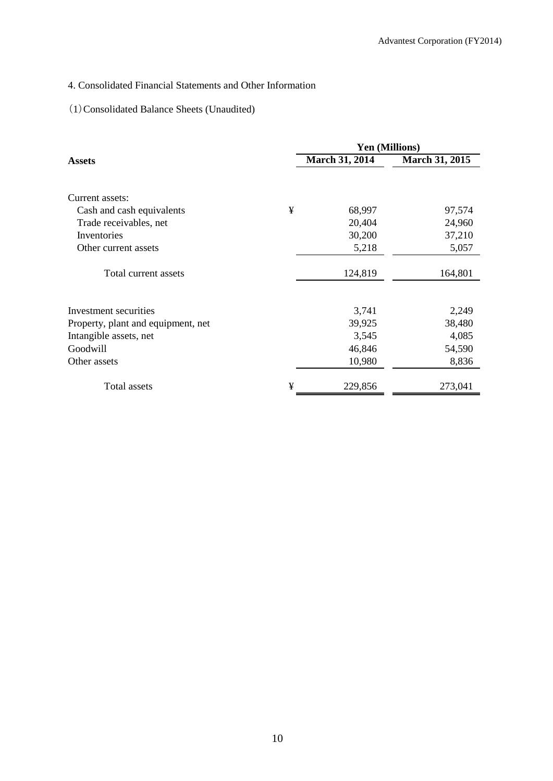## 4. Consolidated Financial Statements and Other Information

# (1)Consolidated Balance Sheets (Unaudited)

|                                    |   | Yen (Millions) |                |  |
|------------------------------------|---|----------------|----------------|--|
| <b>Assets</b>                      |   | March 31, 2014 | March 31, 2015 |  |
| Current assets:                    |   |                |                |  |
| Cash and cash equivalents          | ¥ | 68,997         | 97,574         |  |
| Trade receivables, net             |   | 20,404         | 24,960         |  |
| Inventories                        |   | 30,200         | 37,210         |  |
| Other current assets               |   | 5,218          | 5,057          |  |
| Total current assets               |   | 124,819        | 164,801        |  |
| Investment securities              |   | 3,741          | 2,249          |  |
| Property, plant and equipment, net |   | 39,925         | 38,480         |  |
| Intangible assets, net             |   | 3,545          | 4,085          |  |
| Goodwill                           |   | 46,846         | 54,590         |  |
| Other assets                       |   | 10,980         | 8,836          |  |
| Total assets                       | ¥ | 229,856        | 273,041        |  |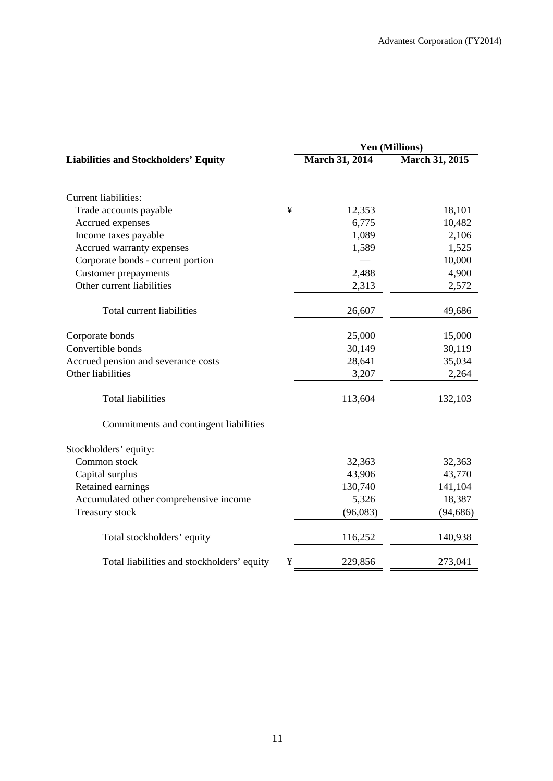|                                             |   | Yen (Millions)        |                       |  |  |
|---------------------------------------------|---|-----------------------|-----------------------|--|--|
| <b>Liabilities and Stockholders' Equity</b> |   | <b>March 31, 2014</b> | <b>March 31, 2015</b> |  |  |
|                                             |   |                       |                       |  |  |
| <b>Current liabilities:</b>                 |   |                       |                       |  |  |
| Trade accounts payable                      | ¥ | 12,353                | 18,101                |  |  |
| Accrued expenses                            |   | 6,775                 | 10,482                |  |  |
| Income taxes payable                        |   | 1,089                 | 2,106                 |  |  |
| Accrued warranty expenses                   |   | 1,589                 | 1,525                 |  |  |
| Corporate bonds - current portion           |   |                       | 10,000                |  |  |
| <b>Customer prepayments</b>                 |   | 2,488                 | 4,900                 |  |  |
| Other current liabilities                   |   | 2,313                 | 2,572                 |  |  |
| Total current liabilities                   |   | 26,607                | 49,686                |  |  |
| Corporate bonds                             |   | 25,000                | 15,000                |  |  |
| Convertible bonds                           |   | 30,149                | 30,119                |  |  |
| Accrued pension and severance costs         |   | 28,641                | 35,034                |  |  |
| Other liabilities                           |   | 3,207                 | 2,264                 |  |  |
| <b>Total liabilities</b>                    |   | 113,604               | 132,103               |  |  |
| Commitments and contingent liabilities      |   |                       |                       |  |  |
| Stockholders' equity:                       |   |                       |                       |  |  |
| Common stock                                |   | 32,363                | 32,363                |  |  |
| Capital surplus                             |   | 43,906                | 43,770                |  |  |
| Retained earnings                           |   | 130,740               | 141,104               |  |  |
| Accumulated other comprehensive income      |   | 5,326                 | 18,387                |  |  |
| <b>Treasury stock</b>                       |   | (96,083)              | (94, 686)             |  |  |
| Total stockholders' equity                  |   | 116,252               | 140,938               |  |  |
| Total liabilities and stockholders' equity  | ¥ | 229,856               | 273,041               |  |  |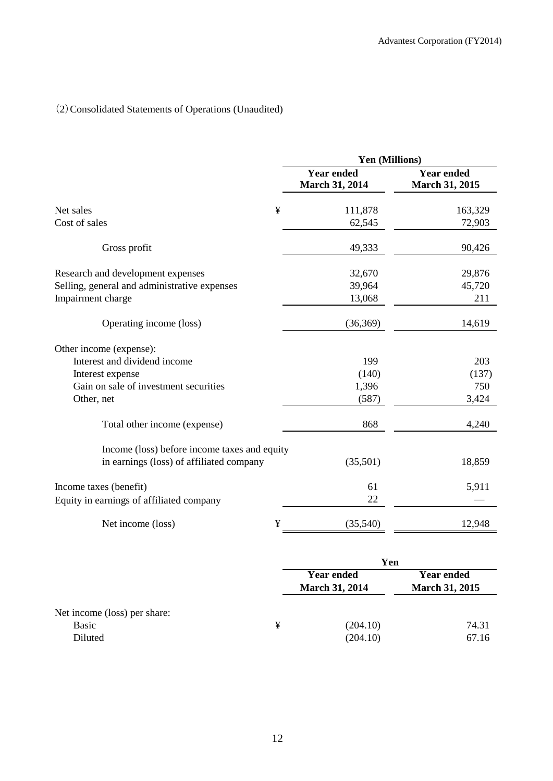# (2)Consolidated Statements of Operations (Unaudited)

|                                                                    |   | Yen (Millions)                             |                                            |  |
|--------------------------------------------------------------------|---|--------------------------------------------|--------------------------------------------|--|
|                                                                    |   | <b>Year ended</b><br><b>March 31, 2014</b> | <b>Year ended</b><br><b>March 31, 2015</b> |  |
| Net sales                                                          | ¥ | 111,878                                    | 163,329                                    |  |
| Cost of sales                                                      |   | 62,545                                     | 72,903                                     |  |
| Gross profit                                                       |   | 49,333                                     | 90,426                                     |  |
| Research and development expenses                                  |   | 32,670                                     | 29,876                                     |  |
| Selling, general and administrative expenses<br>Impairment charge  |   | 39,964<br>13,068                           | 45,720<br>211                              |  |
| Operating income (loss)                                            |   | (36,369)                                   | 14,619                                     |  |
| Other income (expense):                                            |   |                                            |                                            |  |
| Interest and dividend income                                       |   | 199                                        | 203                                        |  |
| Interest expense                                                   |   | (140)                                      | (137)                                      |  |
| Gain on sale of investment securities                              |   | 1,396                                      | 750                                        |  |
| Other, net                                                         |   | (587)                                      | 3,424                                      |  |
| Total other income (expense)                                       |   | 868                                        | 4,240                                      |  |
| Income (loss) before income taxes and equity                       |   |                                            |                                            |  |
| in earnings (loss) of affiliated company                           |   | (35,501)                                   | 18,859                                     |  |
| Income taxes (benefit)<br>Equity in earnings of affiliated company |   | 61<br>22                                   | 5,911                                      |  |
| Net income (loss)                                                  | ¥ | (35,540)                                   | 12,948                                     |  |
|                                                                    |   |                                            |                                            |  |

|                              |   | Yen                                        |                                            |  |  |
|------------------------------|---|--------------------------------------------|--------------------------------------------|--|--|
|                              |   | <b>Year ended</b><br><b>March 31, 2014</b> | <b>Year ended</b><br><b>March 31, 2015</b> |  |  |
| Net income (loss) per share: |   |                                            |                                            |  |  |
| Basic                        | ¥ | (204.10)                                   | 74.31                                      |  |  |
| Diluted                      |   | (204.10)                                   | 67.16                                      |  |  |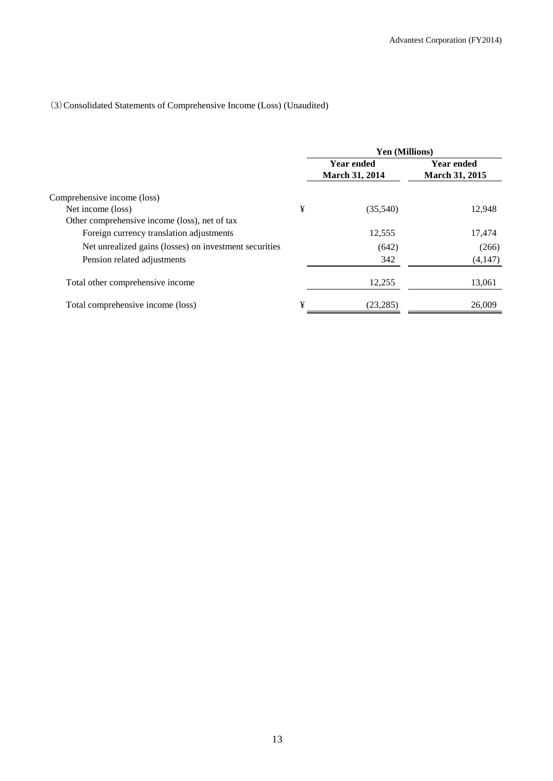## (3)Consolidated Statements of Comprehensive Income (Loss) (Unaudited)

|                                                        |   | <b>Yen (Millions)</b>                      |                                            |  |
|--------------------------------------------------------|---|--------------------------------------------|--------------------------------------------|--|
|                                                        |   | <b>Year ended</b><br><b>March 31, 2014</b> | <b>Year ended</b><br><b>March 31, 2015</b> |  |
| Comprehensive income (loss)                            |   |                                            |                                            |  |
| Net income (loss)                                      | ¥ | (35,540)                                   | 12,948                                     |  |
| Other comprehensive income (loss), net of tax          |   |                                            |                                            |  |
| Foreign currency translation adjustments               |   | 12,555                                     | 17,474                                     |  |
| Net unrealized gains (losses) on investment securities |   | (642)                                      | (266)                                      |  |
| Pension related adjustments                            |   | 342                                        | (4,147)                                    |  |
| Total other comprehensive income                       |   | 12,255                                     | 13,061                                     |  |
| Total comprehensive income (loss)                      | ¥ | (23.285)                                   | 26,009                                     |  |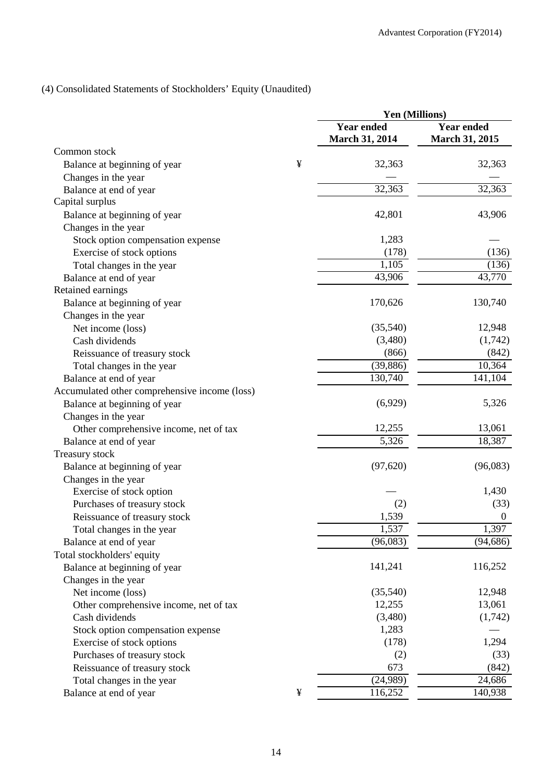## (4) Consolidated Statements of Stockholders' Equity (Unaudited)

|                                               |   | Yen (Millions)                             |                                            |
|-----------------------------------------------|---|--------------------------------------------|--------------------------------------------|
|                                               |   | <b>Year ended</b><br><b>March 31, 2014</b> | <b>Year ended</b><br><b>March 31, 2015</b> |
| Common stock                                  |   |                                            |                                            |
| Balance at beginning of year                  | ¥ | 32,363                                     | 32,363                                     |
| Changes in the year                           |   |                                            |                                            |
| Balance at end of year                        |   | 32,363                                     | 32,363                                     |
| Capital surplus                               |   |                                            |                                            |
| Balance at beginning of year                  |   | 42,801                                     | 43,906                                     |
| Changes in the year                           |   |                                            |                                            |
| Stock option compensation expense             |   | 1,283                                      |                                            |
| Exercise of stock options                     |   | (178)                                      | (136)                                      |
| Total changes in the year                     |   | 1,105                                      | (136)                                      |
| Balance at end of year                        |   | 43,906                                     | 43,770                                     |
| Retained earnings                             |   |                                            |                                            |
| Balance at beginning of year                  |   | 170,626                                    | 130,740                                    |
| Changes in the year                           |   |                                            |                                            |
| Net income (loss)                             |   | (35,540)                                   | 12,948                                     |
| Cash dividends                                |   | (3,480)                                    | (1,742)                                    |
| Reissuance of treasury stock                  |   | (866)                                      | (842)                                      |
| Total changes in the year                     |   | (39, 886)                                  | 10,364                                     |
| Balance at end of year                        |   | 130,740                                    | 141,104                                    |
| Accumulated other comprehensive income (loss) |   |                                            |                                            |
| Balance at beginning of year                  |   | (6,929)                                    | 5,326                                      |
| Changes in the year                           |   |                                            |                                            |
| Other comprehensive income, net of tax        |   | 12,255                                     | 13,061                                     |
| Balance at end of year                        |   | 5,326                                      | 18,387                                     |
| Treasury stock                                |   |                                            |                                            |
| Balance at beginning of year                  |   | (97, 620)                                  | (96,083)                                   |
| Changes in the year                           |   |                                            |                                            |
| Exercise of stock option                      |   |                                            | 1,430                                      |
| Purchases of treasury stock                   |   | (2)                                        | (33)                                       |
| Reissuance of treasury stock                  |   | 1,539                                      | $\boldsymbol{0}$                           |
| Total changes in the year                     |   | 1,537                                      | 1,397                                      |
| Balance at end of year                        |   | (96,083)                                   | (94, 686)                                  |
| Total stockholders' equity                    |   |                                            |                                            |
| Balance at beginning of year                  |   | 141,241                                    | 116,252                                    |
| Changes in the year                           |   |                                            |                                            |
| Net income (loss)                             |   | (35,540)                                   | 12,948                                     |
| Other comprehensive income, net of tax        |   | 12,255                                     | 13,061                                     |
| Cash dividends                                |   | (3,480)                                    | (1,742)                                    |
| Stock option compensation expense             |   | 1,283                                      |                                            |
| Exercise of stock options                     |   | (178)                                      | 1,294                                      |
| Purchases of treasury stock                   |   | (2)                                        | (33)                                       |
| Reissuance of treasury stock                  |   | 673                                        | (842)                                      |
| Total changes in the year                     |   | (24,989)                                   | 24,686                                     |
| Balance at end of year                        | ¥ | 116,252                                    | 140,938                                    |
|                                               |   |                                            |                                            |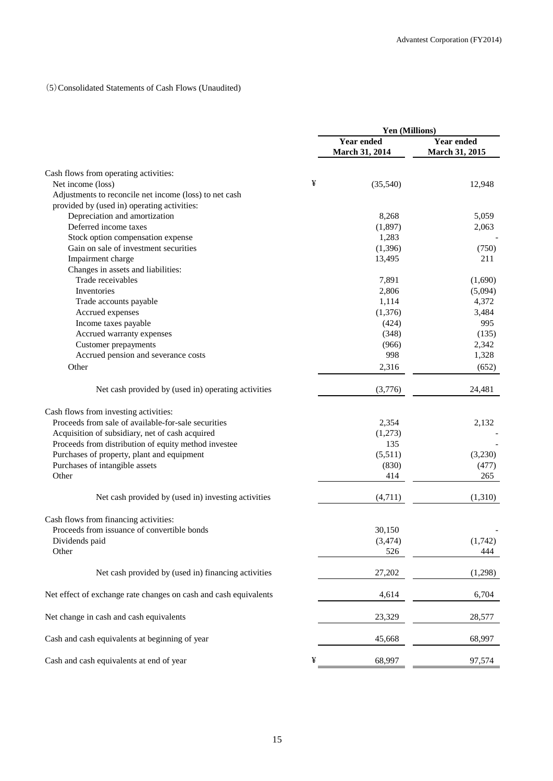## (5)Consolidated Statements of Cash Flows (Unaudited)

|                                                                  |   | Yen (Millions)               |                                     |  |
|------------------------------------------------------------------|---|------------------------------|-------------------------------------|--|
|                                                                  |   | Year ended<br>March 31, 2014 | <b>Year ended</b><br>March 31, 2015 |  |
| Cash flows from operating activities:                            |   |                              |                                     |  |
| Net income (loss)                                                | ¥ | (35,540)                     | 12,948                              |  |
| Adjustments to reconcile net income (loss) to net cash           |   |                              |                                     |  |
| provided by (used in) operating activities:                      |   |                              |                                     |  |
| Depreciation and amortization                                    |   | 8,268                        | 5,059                               |  |
| Deferred income taxes                                            |   | (1,897)                      | 2,063                               |  |
| Stock option compensation expense                                |   | 1,283                        |                                     |  |
| Gain on sale of investment securities                            |   | (1,396)                      | (750)                               |  |
| Impairment charge                                                |   | 13,495                       | 211                                 |  |
| Changes in assets and liabilities:                               |   |                              |                                     |  |
| Trade receivables                                                |   | 7,891                        | (1,690)                             |  |
| Inventories                                                      |   | 2,806                        | (5,094)                             |  |
| Trade accounts payable                                           |   | 1,114                        | 4,372                               |  |
| Accrued expenses                                                 |   | (1,376)                      | 3,484                               |  |
| Income taxes payable                                             |   | (424)                        | 995                                 |  |
| Accrued warranty expenses                                        |   | (348)                        | (135)                               |  |
| Customer prepayments                                             |   | (966)                        | 2,342                               |  |
| Accrued pension and severance costs                              |   | 998                          | 1,328                               |  |
| Other                                                            |   | 2,316                        | (652)                               |  |
| Net cash provided by (used in) operating activities              |   | (3,776)                      | 24,481                              |  |
| Cash flows from investing activities:                            |   |                              |                                     |  |
| Proceeds from sale of available-for-sale securities              |   | 2,354                        | 2,132                               |  |
| Acquisition of subsidiary, net of cash acquired                  |   | (1,273)                      |                                     |  |
| Proceeds from distribution of equity method investee             |   | 135                          |                                     |  |
| Purchases of property, plant and equipment                       |   | (5,511)                      | (3,230)                             |  |
| Purchases of intangible assets                                   |   | (830)                        | (477)                               |  |
| Other                                                            |   | 414                          | 265                                 |  |
| Net cash provided by (used in) investing activities              |   | (4,711)                      | (1,310)                             |  |
| Cash flows from financing activities:                            |   |                              |                                     |  |
| Proceeds from issuance of convertible bonds                      |   | 30,150                       |                                     |  |
| Dividends paid                                                   |   | (3, 474)                     | (1,742)                             |  |
| Other                                                            |   | 526                          | 444                                 |  |
| Net cash provided by (used in) financing activities              |   | 27,202                       | (1,298)                             |  |
| Net effect of exchange rate changes on cash and cash equivalents |   | 4,614                        | 6,704                               |  |
| Net change in cash and cash equivalents                          |   | 23,329                       | 28,577                              |  |
| Cash and cash equivalents at beginning of year                   |   | 45,668                       | 68,997                              |  |
|                                                                  |   |                              |                                     |  |
| Cash and cash equivalents at end of year                         | ¥ | 68,997                       | 97,574                              |  |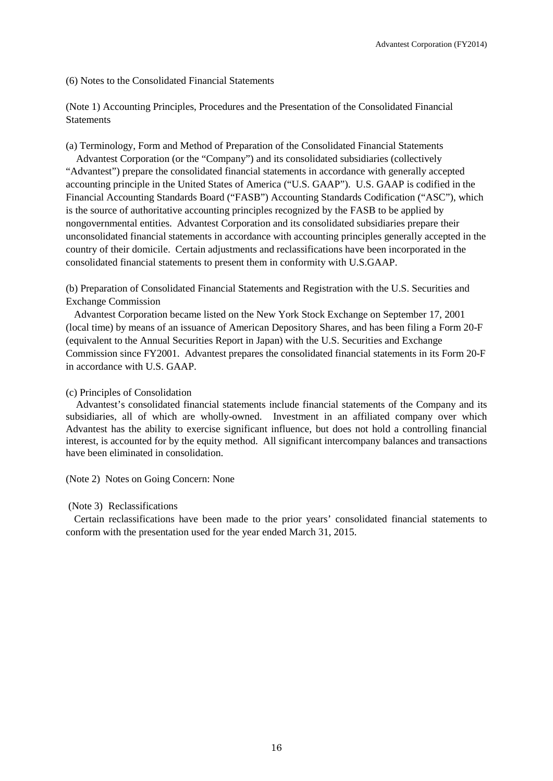(6) Notes to the Consolidated Financial Statements

(Note 1) Accounting Principles, Procedures and the Presentation of the Consolidated Financial **Statements** 

(a) Terminology, Form and Method of Preparation of the Consolidated Financial Statements

Advantest Corporation (or the "Company") and its consolidated subsidiaries (collectively "Advantest") prepare the consolidated financial statements in accordance with generally accepted accounting principle in the United States of America ("U.S. GAAP"). U.S. GAAP is codified in the Financial Accounting Standards Board ("FASB") Accounting Standards Codification ("ASC"), which is the source of authoritative accounting principles recognized by the FASB to be applied by nongovernmental entities. Advantest Corporation and its consolidated subsidiaries prepare their unconsolidated financial statements in accordance with accounting principles generally accepted in the country of their domicile. Certain adjustments and reclassifications have been incorporated in the consolidated financial statements to present them in conformity with U.S.GAAP.

(b) Preparation of Consolidated Financial Statements and Registration with the U.S. Securities and Exchange Commission

Advantest Corporation became listed on the New York Stock Exchange on September 17, 2001 (local time) by means of an issuance of American Depository Shares, and has been filing a Form 20-F (equivalent to the Annual Securities Report in Japan) with the U.S. Securities and Exchange Commission since FY2001. Advantest prepares the consolidated financial statements in its Form 20-F in accordance with U.S. GAAP.

#### (c) Principles of Consolidation

Advantest's consolidated financial statements include financial statements of the Company and its subsidiaries, all of which are wholly-owned. Investment in an affiliated company over which Advantest has the ability to exercise significant influence, but does not hold a controlling financial interest, is accounted for by the equity method. All significant intercompany balances and transactions have been eliminated in consolidation.

(Note 2) Notes on Going Concern: None

#### (Note 3) Reclassifications

Certain reclassifications have been made to the prior years' consolidated financial statements to conform with the presentation used for the year ended March 31, 2015.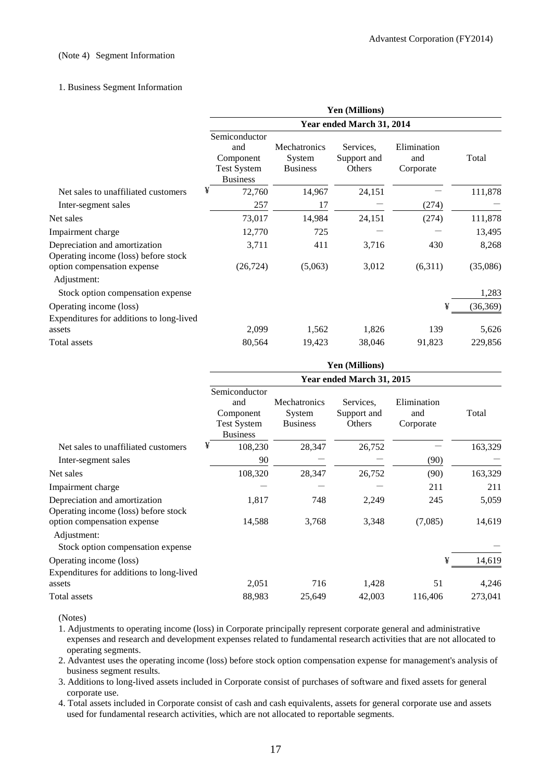#### (Note 4) Segment Information

#### 1. Business Segment Information

|                                                                       | Yen (Millions)                                                             |                                           |                                    |                                 |           |
|-----------------------------------------------------------------------|----------------------------------------------------------------------------|-------------------------------------------|------------------------------------|---------------------------------|-----------|
|                                                                       | Year ended March 31, 2014                                                  |                                           |                                    |                                 |           |
|                                                                       | Semiconductor<br>and<br>Component<br><b>Test System</b><br><b>Business</b> | Mechatronics<br>System<br><b>Business</b> | Services.<br>Support and<br>Others | Elimination<br>and<br>Corporate | Total     |
| Net sales to unaffiliated customers                                   | ¥<br>72,760                                                                | 14,967                                    | 24,151                             |                                 | 111,878   |
| Inter-segment sales                                                   | 257                                                                        | 17                                        |                                    | (274)                           |           |
| Net sales                                                             | 73,017                                                                     | 14,984                                    | 24,151                             | (274)                           | 111,878   |
| Impairment charge                                                     | 12,770                                                                     | 725                                       |                                    |                                 | 13,495    |
| Depreciation and amortization<br>Operating income (loss) before stock | 3,711                                                                      | 411                                       | 3,716                              | 430                             | 8,268     |
| option compensation expense<br>Adjustment:                            | (26, 724)                                                                  | (5,063)                                   | 3,012                              | (6,311)                         | (35,086)  |
| Stock option compensation expense                                     |                                                                            |                                           |                                    |                                 | 1,283     |
| Operating income (loss)                                               |                                                                            |                                           |                                    | ¥                               | (36, 369) |
| Expenditures for additions to long-lived<br>assets                    | 2,099                                                                      | 1,562                                     | 1,826                              | 139                             | 5,626     |
| Total assets                                                          | 80,564                                                                     | 19,423                                    | 38,046                             | 91,823                          | 229,856   |

|                                                                                 | Yen (Millions)                                                             |                                           |                                    |                                 |         |
|---------------------------------------------------------------------------------|----------------------------------------------------------------------------|-------------------------------------------|------------------------------------|---------------------------------|---------|
|                                                                                 | Year ended March 31, 2015                                                  |                                           |                                    |                                 |         |
|                                                                                 | Semiconductor<br>and<br>Component<br><b>Test System</b><br><b>Business</b> | Mechatronics<br>System<br><b>Business</b> | Services.<br>Support and<br>Others | Elimination<br>and<br>Corporate | Total   |
| Net sales to unaffiliated customers                                             | ¥<br>108,230                                                               | 28,347                                    | 26,752                             |                                 | 163,329 |
| Inter-segment sales                                                             | 90                                                                         |                                           |                                    | (90)                            |         |
| Net sales                                                                       | 108,320                                                                    | 28,347                                    | 26,752                             | (90)                            | 163,329 |
| Impairment charge                                                               |                                                                            |                                           |                                    | 211                             | 211     |
| Depreciation and amortization<br>Operating income (loss) before stock           | 1,817                                                                      | 748                                       | 2,249                              | 245                             | 5,059   |
| option compensation expense<br>Adjustment:<br>Stock option compensation expense | 14,588                                                                     | 3,768                                     | 3,348                              | (7,085)                         | 14,619  |
| Operating income (loss)                                                         |                                                                            |                                           |                                    | ¥                               | 14,619  |
| Expenditures for additions to long-lived<br>assets                              | 2,051                                                                      | 716                                       | 1,428                              | 51                              | 4,246   |
| Total assets                                                                    | 88,983                                                                     | 25,649                                    | 42,003                             | 116,406                         | 273,041 |

(Notes)

1. Adjustments to operating income (loss) in Corporate principally represent corporate general and administrative expenses and research and development expenses related to fundamental research activities that are not allocated to operating segments.

2. Advantest uses the operating income (loss) before stock option compensation expense for management's analysis of business segment results.

3. Additions to long-lived assets included in Corporate consist of purchases of software and fixed assets for general corporate use.

4. Total assets included in Corporate consist of cash and cash equivalents, assets for general corporate use and assets used for fundamental research activities, which are not allocated to reportable segments.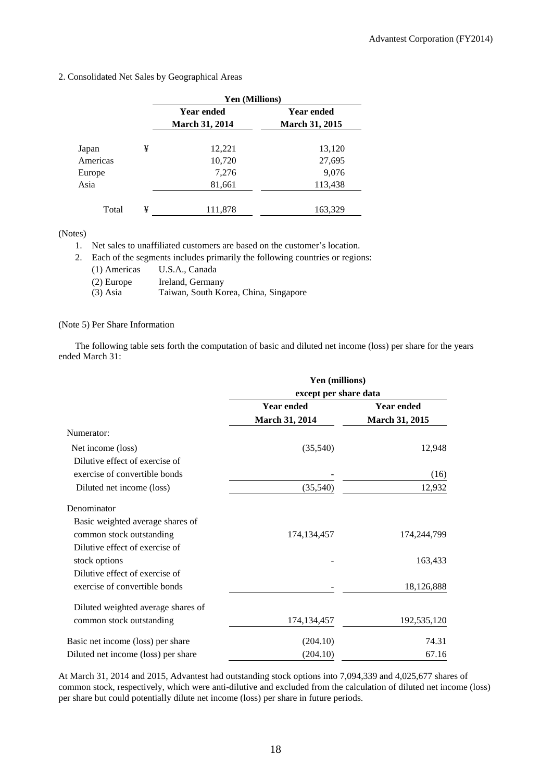2. Consolidated Net Sales by Geographical Areas

|          |   | Yen (Millions)                             |                                            |  |
|----------|---|--------------------------------------------|--------------------------------------------|--|
|          |   | <b>Year ended</b><br><b>March 31, 2014</b> | <b>Year ended</b><br><b>March 31, 2015</b> |  |
| Japan    | ¥ | 12,221                                     | 13,120                                     |  |
| Americas |   | 10,720                                     | 27,695                                     |  |
| Europe   |   | 7,276                                      | 9,076                                      |  |
| Asia     |   | 81,661                                     | 113,438                                    |  |
| Total    | ¥ | 111,878                                    | 163,329                                    |  |

(Notes)

1. Net sales to unaffiliated customers are based on the customer's location.

2. Each of the segments includes primarily the following countries or regions:

- (1) Americas U.S.A., Canada
- (2) Europe Ireland, Germany
- (3) Asia Taiwan, South Korea, China, Singapore

#### (Note 5) Per Share Information

The following table sets forth the computation of basic and diluted net income (loss) per share for the years ended March 31:

|                                     | Yen (millions)<br>except per share data |                   |  |
|-------------------------------------|-----------------------------------------|-------------------|--|
|                                     |                                         |                   |  |
|                                     | <b>Year ended</b>                       | <b>Year ended</b> |  |
|                                     | March 31, 2014                          | March 31, 2015    |  |
| Numerator:                          |                                         |                   |  |
| Net income (loss)                   | (35,540)                                | 12,948            |  |
| Dilutive effect of exercise of      |                                         |                   |  |
| exercise of convertible bonds       |                                         | (16)              |  |
| Diluted net income (loss)           | (35,540)                                | 12,932            |  |
| Denominator                         |                                         |                   |  |
| Basic weighted average shares of    |                                         |                   |  |
| common stock outstanding            | 174, 134, 457                           | 174,244,799       |  |
| Dilutive effect of exercise of      |                                         |                   |  |
| stock options                       |                                         | 163,433           |  |
| Dilutive effect of exercise of      |                                         |                   |  |
| exercise of convertible bonds       |                                         | 18,126,888        |  |
| Diluted weighted average shares of  |                                         |                   |  |
| common stock outstanding            | 174, 134, 457                           | 192,535,120       |  |
| Basic net income (loss) per share   | (204.10)                                | 74.31             |  |
| Diluted net income (loss) per share | (204.10)                                | 67.16             |  |

At March 31, 2014 and 2015, Advantest had outstanding stock options into 7,094,339 and 4,025,677 shares of common stock, respectively, which were anti-dilutive and excluded from the calculation of diluted net income (loss) per share but could potentially dilute net income (loss) per share in future periods.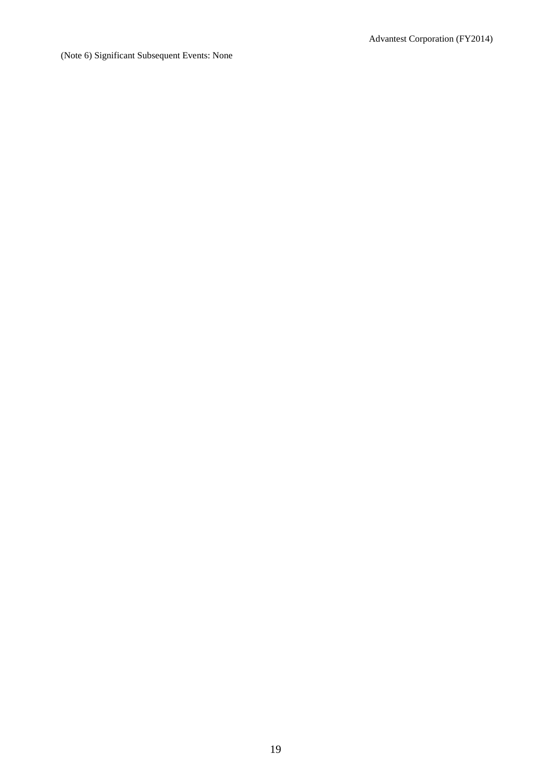(Note 6) Significant Subsequent Events: None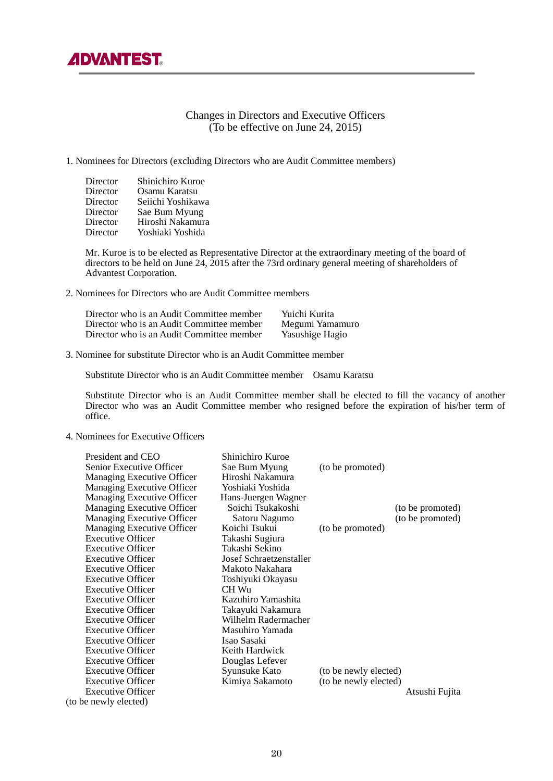## Changes in Directors and Executive Officers (To be effective on June 24, 2015)

#### 1. Nominees for Directors (excluding Directors who are Audit Committee members)

| Director | Shinichiro Kuroe  |
|----------|-------------------|
| Director | Osamu Karatsu     |
| Director | Seiichi Yoshikawa |
| Director | Sae Bum Myung     |
| Director | Hiroshi Nakamura  |
| Director | Yoshiaki Yoshida  |

Mr. Kuroe is to be elected as Representative Director at the extraordinary meeting of the board of directors to be held on June 24, 2015 after the 73rd ordinary general meeting of shareholders of Advantest Corporation.

2. Nominees for Directors who are Audit Committee members

| Director who is an Audit Committee member | Yuichi Kurita   |
|-------------------------------------------|-----------------|
| Director who is an Audit Committee member | Megumi Yamamuro |
| Director who is an Audit Committee member | Yasushige Hagio |

3. Nominee for substitute Director who is an Audit Committee member

Substitute Director who is an Audit Committee member Osamu Karatsu

Substitute Director who is an Audit Committee member shall be elected to fill the vacancy of another Director who was an Audit Committee member who resigned before the expiration of his/her term of office.

#### 4. Nominees for Executive Officers

| President and CEO<br>Senior Executive Officer | Shinichiro Kuroe<br>Sae Bum Myung | (to be promoted)      |                  |
|-----------------------------------------------|-----------------------------------|-----------------------|------------------|
|                                               | Hiroshi Nakamura                  |                       |                  |
| Managing Executive Officer                    | Yoshiaki Yoshida                  |                       |                  |
| Managing Executive Officer                    |                                   |                       |                  |
| Managing Executive Officer                    | Hans-Juergen Wagner               |                       |                  |
| Managing Executive Officer                    | Soichi Tsukakoshi                 |                       | (to be promoted) |
| Managing Executive Officer                    | Satoru Nagumo                     |                       | (to be promoted) |
| Managing Executive Officer                    | Koichi Tsukui                     | (to be promoted)      |                  |
| <b>Executive Officer</b>                      | Takashi Sugiura                   |                       |                  |
| <b>Executive Officer</b>                      | Takashi Sekino                    |                       |                  |
| <b>Executive Officer</b>                      | Josef Schraetzenstaller           |                       |                  |
| <b>Executive Officer</b>                      | Makoto Nakahara                   |                       |                  |
| <b>Executive Officer</b>                      | Toshiyuki Okayasu                 |                       |                  |
| Executive Officer                             | CH Wu                             |                       |                  |
| <b>Executive Officer</b>                      | Kazuhiro Yamashita                |                       |                  |
| <b>Executive Officer</b>                      | Takayuki Nakamura                 |                       |                  |
| <b>Executive Officer</b>                      | Wilhelm Radermacher               |                       |                  |
| <b>Executive Officer</b>                      | Masuhiro Yamada                   |                       |                  |
| <b>Executive Officer</b>                      | Isao Sasaki                       |                       |                  |
| <b>Executive Officer</b>                      | Keith Hardwick                    |                       |                  |
| <b>Executive Officer</b>                      | Douglas Lefever                   |                       |                  |
| <b>Executive Officer</b>                      | Syunsuke Kato                     |                       |                  |
| <b>Executive Officer</b>                      |                                   | (to be newly elected) |                  |
|                                               | Kimiya Sakamoto                   | (to be newly elected) |                  |
| <b>Executive Officer</b>                      |                                   |                       | Atsushi Fujita   |
| (to be newly elected)                         |                                   |                       |                  |